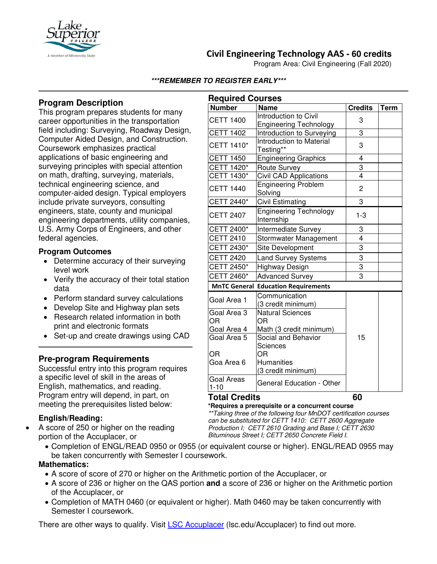

# **Civil Engineering Technology AAS - 60 credits**

Program Area: Civil Engineering (Fall 2020)

#### **\*\*\*REMEMBER TO REGISTER EARLY\*\*\***

# **Program Description**

This program prepares students for many career opportunities in the transportation field including: Surveying, Roadway Design, Computer Aided Design, and Construction. Coursework emphasizes practical applications of basic engineering and surveying principles with special attention on math, drafting, surveying, materials, technical engineering science, and computer-aided design. Typical employers include private surveyors, consulting engineers, state, county and municipal engineering departments, utility companies, U.S. Army Corps of Engineers, and other federal agencies.

#### **Program Outcomes**

- Determine accuracy of their surveying level work
- Verify the accuracy of their total station data
- Perform standard survey calculations
- Develop Site and Highway plan sets
- Research related information in both print and electronic formats
- Set-up and create drawings using CAD

## **Pre-program Requirements**

Successful entry into this program requires a specific level of skill in the areas of English, mathematics, and reading. Program entry will depend, in part, on meeting the prerequisites listed below:

## **English/Reading:**

• A score of 250 or higher on the reading portion of the Accuplacer, or

| <b>Required Courses</b>                    |                                                        |                |             |
|--------------------------------------------|--------------------------------------------------------|----------------|-------------|
| <b>Number</b>                              | <b>Name</b>                                            | <b>Credits</b> | <b>Term</b> |
| <b>CETT 1400</b>                           | Introduction to Civil<br><b>Engineering Technology</b> | 3              |             |
| <b>CETT 1402</b>                           | <b>Introduction to Surveying</b>                       | 3              |             |
| CETT 1410*                                 | <b>Introduction to Material</b><br>Testing**           | 3              |             |
| <b>CETT 1450</b>                           | <b>Engineering Graphics</b>                            | $\overline{4}$ |             |
| CETT 1420*                                 | <b>Route Survey</b>                                    | 3              |             |
| <b>CETT 1430*</b>                          | <b>Civil CAD Applications</b>                          | $\overline{4}$ |             |
| <b>CETT 1440</b>                           | <b>Engineering Problem</b><br>Solving                  | 2              |             |
| CETT 2440*                                 | <b>Civil Estimating</b>                                | 3              |             |
| <b>CETT 2407</b>                           | <b>Engineering Technology</b><br>Internship            | $1 - 3$        |             |
| CETT 2400*                                 | Intermediate Survey                                    | 3              |             |
| <b>CETT 2410</b>                           | Stormwater Management                                  | 4              |             |
| CETT 2430*                                 | Site Development                                       | 3              |             |
| <b>CETT 2420</b>                           | <b>Land Survey Systems</b>                             | 3              |             |
| CETT 2450*                                 | Highway Design                                         | 3              |             |
| CETT 2460*                                 | <b>Advanced Survey</b>                                 | 3              |             |
| <b>MnTC General Education Requirements</b> |                                                        |                |             |
| Goal Area 1                                | Communication<br>(3 credit minimum)                    |                |             |
| Goal Area 3<br><b>OR</b>                   | <b>Natural Sciences</b><br>ΟR                          | 15             |             |
| Goal Area 4                                | Math (3 credit minimum)                                |                |             |
| Goal Area 5                                | Social and Behavior<br>Sciences                        |                |             |
| ΟR<br>Goa Area 6                           | ΟR<br><b>Humanities</b><br>(3 credit minimum)          |                |             |
| <b>Goal Areas</b><br>$1 - 10$              | <b>General Education - Other</b>                       |                |             |

## **Total Credits 60**

**\*Requires a prerequisite or a concurrent course** *\*\*Taking three of the following four MnDOT certification courses can be substituted for CETT 1410: CETT 2600 Aggregate Production I; CETT 2610 Grading and Base I; CETT 2630 Bituminous Street I; CETT 2650 Concrete Field I.*

• Completion of ENGL/READ 0950 or 0955 (or equivalent course or higher). ENGL/READ 0955 may be taken concurrently with Semester I coursework.

## **Mathematics:**

- A score of score of 270 or higher on the Arithmetic portion of the Accuplacer, or
- A score of 236 or higher on the QAS portion **and** a score of 236 or higher on the Arithmetic portion of the Accuplacer, or
- Completion of MATH 0460 (or equivalent or higher). Math 0460 may be taken concurrently with Semester I coursework.

There are other ways to qualify. Visit [LSC Accuplacer](https://www.lsc.edu/accuplacer/) (lsc.edu/Accuplacer) to find out more.